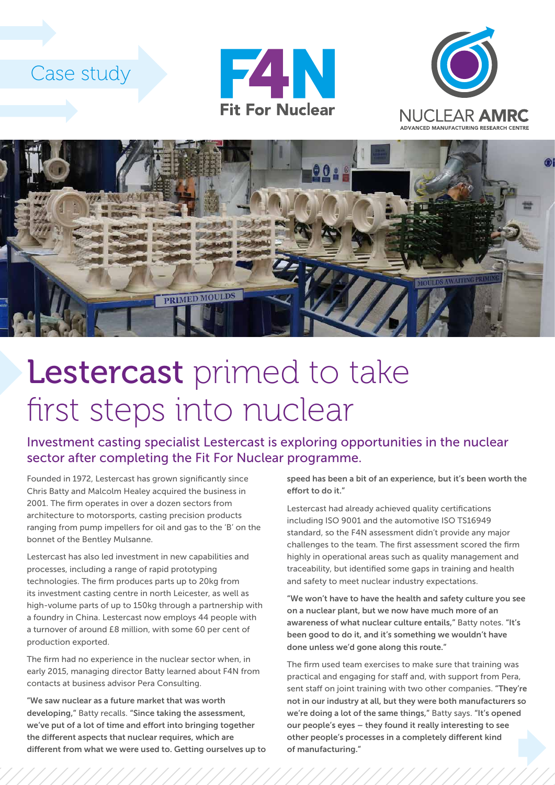## Case study







## Lestercast primed to take first steps into nuclear

Investment casting specialist Lestercast is exploring opportunities in the nuclear sector after completing the Fit For Nuclear programme.

Founded in 1972, Lestercast has grown significantly since Chris Batty and Malcolm Healey acquired the business in 2001. The firm operates in over a dozen sectors from architecture to motorsports, casting precision products ranging from pump impellers for oil and gas to the 'B' on the bonnet of the Bentley Mulsanne.

Lestercast has also led investment in new capabilities and processes, including a range of rapid prototyping technologies. The firm produces parts up to 20kg from its investment casting centre in north Leicester, as well as high-volume parts of up to 150kg through a partnership with a foundry in China. Lestercast now employs 44 people with a turnover of around £8 million, with some 60 per cent of production exported.

The firm had no experience in the nuclear sector when, in early 2015, managing director Batty learned about F4N from contacts at business advisor Pera Consulting.

"We saw nuclear as a future market that was worth developing," Batty recalls. "Since taking the assessment, we've put of a lot of time and effort into bringing together the different aspects that nuclear requires, which are different from what we were used to. Getting ourselves up to speed has been a bit of an experience, but it's been worth the effort to do it."

Lestercast had already achieved quality certifications including ISO 9001 and the automotive ISO TS16949 standard, so the F4N assessment didn't provide any major challenges to the team. The first assessment scored the firm highly in operational areas such as quality management and traceability, but identified some gaps in training and health and safety to meet nuclear industry expectations.

"We won't have to have the health and safety culture you see on a nuclear plant, but we now have much more of an awareness of what nuclear culture entails," Batty notes. "It's been good to do it, and it's something we wouldn't have done unless we'd gone along this route."

The firm used team exercises to make sure that training was practical and engaging for staff and, with support from Pera, sent staff on joint training with two other companies. "They're not in our industry at all, but they were both manufacturers so we're doing a lot of the same things," Batty says. "It's opened our people's eyes – they found it really interesting to see other people's processes in a completely different kind of manufacturing."